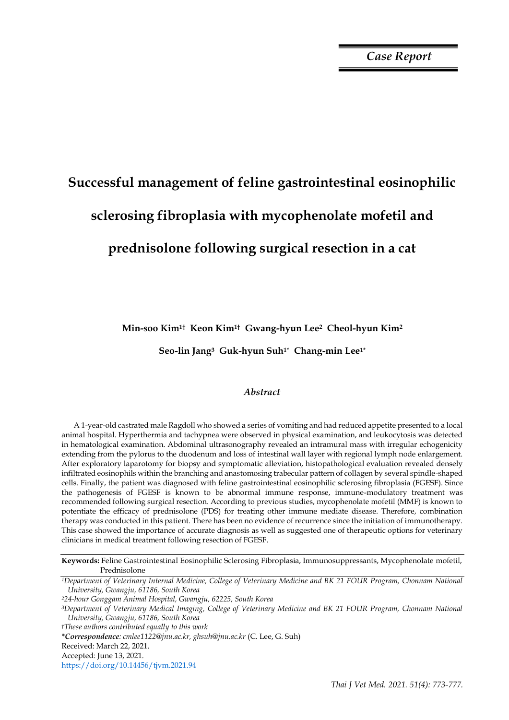# **Successful management of feline gastrointestinal eosinophilic sclerosing fibroplasia with mycophenolate mofetil and prednisolone following surgical resection in a cat**

**Min-soo Kim1† Keon Kim1† Gwang-hyun Lee2 Cheol-hyun Kim<sup>2</sup>** 

**Seo-lin Jang3 Guk-hyun Suh1\* Chang-min Lee1\***

# *Abstract*

A 1-year-old castrated male Ragdoll who showed a series of vomiting and had reduced appetite presented to a local animal hospital. Hyperthermia and tachypnea were observed in physical examination, and leukocytosis was detected in hematological examination. Abdominal ultrasonography revealed an intramural mass with irregular echogenicity extending from the pylorus to the duodenum and loss of intestinal wall layer with regional lymph node enlargement. After exploratory laparotomy for biopsy and symptomatic alleviation, histopathological evaluation revealed densely infiltrated eosinophils within the branching and anastomosing trabecular pattern of collagen by several spindle-shaped cells. Finally, the patient was diagnosed with feline gastrointestinal eosinophilic sclerosing fibroplasia (FGESF). Since the pathogenesis of FGESF is known to be abnormal immune response, immune-modulatory treatment was recommended following surgical resection. According to previous studies, mycophenolate mofetil (MMF) is known to potentiate the efficacy of prednisolone (PDS) for treating other immune mediate disease. Therefore, combination therapy was conducted in this patient. There has been no evidence of recurrence since the initiation of immunotherapy. This case showed the importance of accurate diagnosis as well as suggested one of therapeutic options for veterinary clinicians in medical treatment following resection of FGESF.

**Keywords:** Feline Gastrointestinal Eosinophilic Sclerosing Fibroplasia, Immunosuppressants, Mycophenolate mofetil, Prednisolone

*<sup>1</sup>Department of Veterinary Internal Medicine, College of Veterinary Medicine and BK 21 FOUR Program, Chonnam National University, Gwangju, 61186, South Korea*

*<sup>2</sup>24-hour Gonggam Animal Hospital, Gwangju, 62225, South Korea*

*<sup>3</sup>Department of Veterinary Medical Imaging, College of Veterinary Medicine and BK 21 FOUR Program, Chonnam National University, Gwangju, 61186, South Korea*

*†These authors contributed equally to this work*

*\*Correspondence: cmlee1122@jnu.ac.kr, ghsuh@jnu.ac.kr* (C. Lee, G. Suh)

Received: March 22, 2021.

Accepted: June 13, 2021.

https://doi.org/10.14456/tjvm.2021.94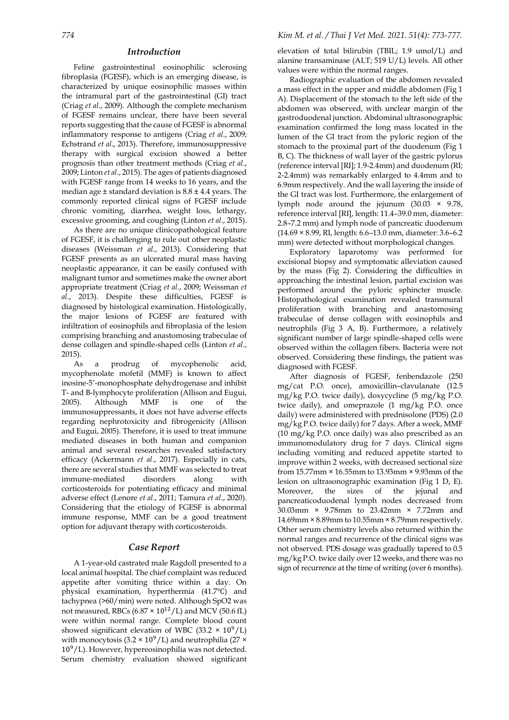## *Introduction*

Feline gastrointestinal eosinophilic sclerosing fibroplasia (FGESF), which is an emerging disease, is characterized by unique eosinophilic masses within the intramural part of the gastrointestinal (GI) tract (Criag *et al*., 2009). Although the complete mechanism of FGESF remains unclear, there have been several reports suggesting that the cause of FGESF is abnormal inflammatory response to antigens (Criag *et al*., 2009; Echstrand *et al*., 2013). Therefore, immunosuppressive therapy with surgical excision showed a better prognosis than other treatment methods (Criag *et al*., 2009; Linton *et al*., 2015). The ages of patients diagnosed with FGESF range from 14 weeks to 16 years, and the median age  $\pm$  standard deviation is  $8.8 \pm 4.4$  years. The commonly reported clinical signs of FGESF include chronic vomiting, diarrhea, weight loss, lethargy, excessive grooming, and coughing (Linton *et al*., 2015).

As there are no unique clinicopathological feature of FGESF, it is challenging to rule out other neoplastic diseases (Weissman *et al*., 2013). Considering that FGESF presents as an ulcerated mural mass having neoplastic appearance, it can be easily confused with malignant tumor and sometimes make the owner abort appropriate treatment (Criag *et al*., 2009; Weissman *et al*., 2013). Despite these difficulties, FGESF is diagnosed by histological examination. Histologically, the major lesions of FGESF are featured with infiltration of eosinophils and fibroplasia of the lesion comprising branching and anastomosing trabeculae of dense collagen and spindle-shaped cells (Linton *et al*., 2015).

As a prodrug of mycophenolic acid, mycophenolate mofetil (MMF) is known to affect inosine-5'-monophosphate dehydrogenase and inhibit T- and B-lymphocyte proliferation (Allison and Eugui, 2005). Although MMF is one of the immunosuppressants, it does not have adverse effects regarding nephrotoxicity and fibrogenicity (Allison and Eugui, 2005). Therefore, it is used to treat immune mediated diseases in both human and companion animal and several researches revealed satisfactory efficacy (Ackermann *et al*., 2017). Especially in cats, there are several studies that MMF was selected to treat immune-mediated disorders along with corticosteroids for potentiating efficacy and minimal adverse effect (Lenore *et al*., 2011; Tamura *et al*., 2020). Considering that the etiology of FGESF is abnormal immune response, MMF can be a good treatment option for adjuvant therapy with corticosteroids.

# *Case Report*

A 1-year-old castrated male Ragdoll presented to a local animal hospital. The chief complaint was reduced appetite after vomiting thrice within a day. On physical examination, hyperthermia (41.7℃) and tachypnea (>60/min) were noted. Although SpO2 was not measured, RBCs ( $6.87 \times 10^{12}/L$ ) and MCV (50.6 fL) were within normal range. Complete blood count showed significant elevation of WBC (33.2  $\times$  10<sup>9</sup>/L) with monocytosis (3.2  $\times$  10<sup>9</sup>/L) and neutrophilia (27  $\times$ 109/L). However, hypereosinophilia was not detected. Serum chemistry evaluation showed significant elevation of total bilirubin (TBIL; 1.9 umol/L) and alanine transaminase (ALT; 519 U/L) levels. All other values were within the normal ranges.

Radiographic evaluation of the abdomen revealed a mass effect in the upper and middle abdomen (Fig 1 A). Displacement of the stomach to the left side of the abdomen was observed, with unclear margin of the gastroduodenal junction. Abdominal ultrasonographic examination confirmed the long mass located in the lumen of the GI tract from the pyloric region of the stomach to the proximal part of the duodenum (Fig 1 B, C). The thickness of wall layer of the gastric pylorus (reference interval [RI]; 1.9-2.4mm) and duodenum (RI; 2-2.4mm) was remarkably enlarged to 4.4mm and to 6.9mm respectively. And the wall layering the inside of the GI tract was lost. Furthermore, the enlargement of lymph node around the jejunum (30.03 × 9.78, reference interval [RI], length: 11.4–39.0 mm, diameter: 2.8–7.2 mm) and lymph node of pancreatic duodenum (14.69 × 8.99, RI, length: 6.6–13.0 mm, diameter: 3.6–6.2 mm) were detected without morphological changes.

Exploratory laparotomy was performed for excisional biopsy and symptomatic alleviation caused by the mass (Fig 2). Considering the difficulties in approaching the intestinal lesion, partial excision was performed around the pyloric sphincter muscle. Histopathological examination revealed transmural proliferation with branching and anastomosing trabeculae of dense collagen with eosinophils and neutrophils (Fig 3 A, B). Furthermore, a relatively significant number of large spindle-shaped cells were observed within the collagen fibers. Bacteria were not observed. Considering these findings, the patient was diagnosed with FGESF.

After diagnosis of FGESF, fenbendazole (250 mg/cat P.O. once), amoxicillin–clavulanate (12.5 mg/kg P.O. twice daily), doxycycline (5 mg/kg P.O. twice daily), and omeprazole (1 mg/kg P.O. once daily) were administered with prednisolone (PDS) (2.0 mg/kg P.O. twice daily) for 7 days. After a week, MMF (10 mg/kg P.O. once daily) was also prescribed as an immunomodulatory drug for 7 days. Clinical signs including vomiting and reduced appetite started to improve within 2 weeks, with decreased sectional size from 15.77mm × 16.55mm to 13.93mm × 9.93mm of the lesion on ultrasonographic examination (Fig 1 D, E). Moreover, the sizes of the jejunal and pancreaticoduodenal lymph nodes decreased from 30.03mm × 9.78mm to 23.42mm × 7.72mm and 14.69mm × 8.89mm to 10.55mm × 8.79mm respectively. Other serum chemistry levels also returned within the normal ranges and recurrence of the clinical signs was not observed. PDS dosage was gradually tapered to 0.5 mg/kg P.O. twice daily over 12 weeks, and there was no sign of recurrence at the time of writing (over 6 months).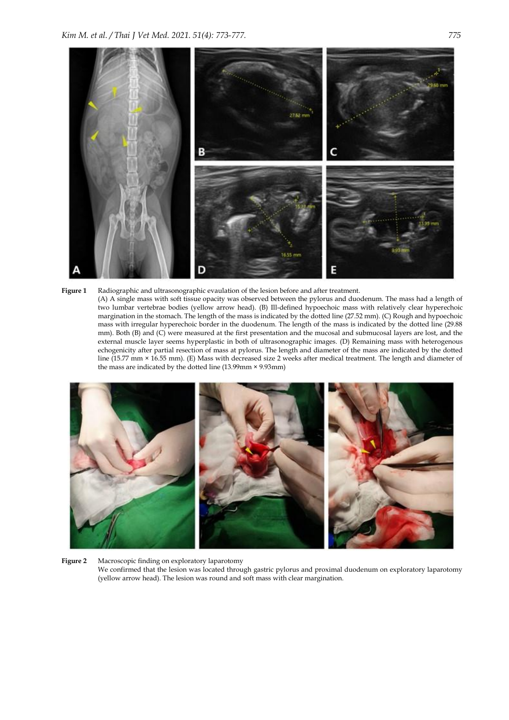





**Figure 2** Macroscopic finding on exploratory laparotomy We confirmed that the lesion was located through gastric pylorus and proximal duodenum on exploratory laparotomy (yellow arrow head). The lesion was round and soft mass with clear margination.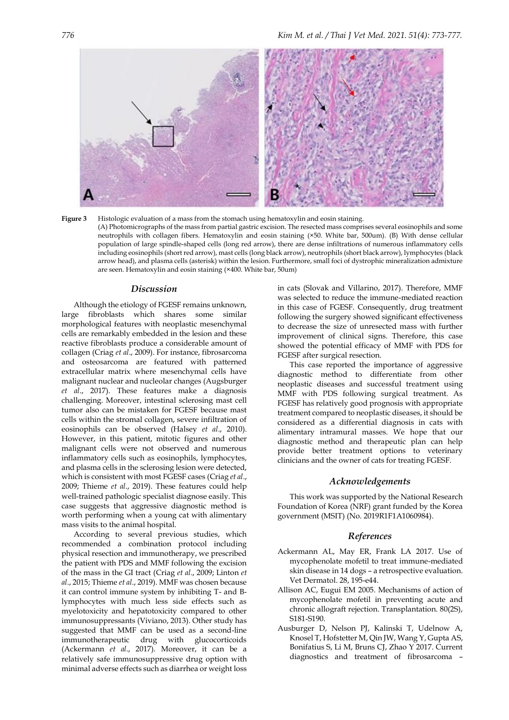

**Figure 3** Histologic evaluation of a mass from the stomach using hematoxylin and eosin staining. (A) Photomicrographs of the mass from partial gastric excision. The resected mass comprises several eosinophils and some neutrophils with collagen fibers. Hematoxylin and eosin staining (×50. White bar, 500um). (B) With dense cellular population of large spindle-shaped cells (long red arrow), there are dense infiltrations of numerous inflammatory cells including eosinophils (short red arrow), mast cells (long black arrow), neutrophils (short black arrow), lymphocytes (black arrow head), and plasma cells (asterisk) within the lesion. Furthermore, small foci of dystrophic mineralization admixture are seen. Hematoxylin and eosin staining (×400. White bar, 50um)

#### *Discussion*

Although the etiology of FGESF remains unknown, large fibroblasts which shares some similar morphological features with neoplastic mesenchymal cells are remarkably embedded in the lesion and these reactive fibroblasts produce a considerable amount of collagen (Criag *et al*., 2009). For instance, fibrosarcoma and osteosarcoma are featured with patterned extracellular matrix where mesenchymal cells have malignant nuclear and nucleolar changes (Augsburger *et al*., 2017). These features make a diagnosis challenging. Moreover, intestinal sclerosing mast cell tumor also can be mistaken for FGESF because mast cells within the stromal collagen, severe infiltration of eosinophils can be observed (Halsey *et al*., 2010). However, in this patient, mitotic figures and other malignant cells were not observed and numerous inflammatory cells such as eosinophils, lymphocytes, and plasma cells in the sclerosing lesion were detected, which is consistent with most FGESF cases (Criag *et al*., 2009; Thieme *et al*., 2019). These features could help well-trained pathologic specialist diagnose easily. This case suggests that aggressive diagnostic method is worth performing when a young cat with alimentary mass visits to the animal hospital.

According to several previous studies, which recommended a combination protocol including physical resection and immunotherapy, we prescribed the patient with PDS and MMF following the excision of the mass in the GI tract (Criag *et al*., 2009; Linton *et al*., 2015; Thieme *et al*., 2019). MMF was chosen because it can control immune system by inhibiting T- and Blymphocytes with much less side effects such as myelotoxicity and hepatotoxicity compared to other immunosuppressants (Viviano, 2013). Other study has suggested that MMF can be used as a second-line immunotherapeutic drug with glucocorticoids (Ackermann *et al*., 2017). Moreover, it can be a relatively safe immunosuppressive drug option with minimal adverse effects such as diarrhea or weight loss

in cats (Slovak and Villarino, 2017). Therefore, MMF was selected to reduce the immune-mediated reaction in this case of FGESF. Consequently, drug treatment following the surgery showed significant effectiveness to decrease the size of unresected mass with further improvement of clinical signs. Therefore, this case showed the potential efficacy of MMF with PDS for FGESF after surgical resection.

This case reported the importance of aggressive diagnostic method to differentiate from other neoplastic diseases and successful treatment using MMF with PDS following surgical treatment. As FGESF has relatively good prognosis with appropriate treatment compared to neoplastic diseases, it should be considered as a differential diagnosis in cats with alimentary intramural masses. We hope that our diagnostic method and therapeutic plan can help provide better treatment options to veterinary clinicians and the owner of cats for treating FGESF.

### *Acknowledgements*

This work was supported by the National Research Foundation of Korea (NRF) grant funded by the Korea government (MSIT) (No. 2019R1F1A1060984).

### *References*

- Ackermann AL, May ER, Frank LA 2017. Use of mycophenolate mofetil to treat immune-mediated skin disease in 14 dogs – a retrospective evaluation. Vet Dermatol. 28, 195-e44.
- Allison AC, Eugui EM 2005. Mechanisms of action of mycophenolate mofetil in preventing acute and chronic allograft rejection. Transplantation. 80(2S), S181-S190.
- Ausburger D, Nelson PJ, Kalinski T, Udelnow A, Knosel T, Hofstetter M, Qin JW, Wang Y, Gupta AS, Bonifatius S, Li M, Bruns CJ, Zhao Y 2017. Current diagnostics and treatment of fibrosarcoma –